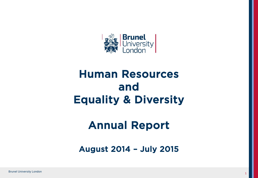

# Human Resources and Equality & Diversity

# Annual Report

August 2014 – July 2015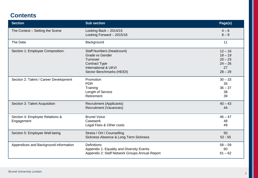### **Contents**

| <b>Section</b>                                | <b>Sub section</b>                                                                                                                           | Page(s)                                                             |
|-----------------------------------------------|----------------------------------------------------------------------------------------------------------------------------------------------|---------------------------------------------------------------------|
| The Context - Setting the Scene               | Looking Back - 2014/15<br>Looking Forward - 2015/16                                                                                          | $4 - 6$<br>$8 - 9$                                                  |
| The Data                                      | Background                                                                                                                                   | 11                                                                  |
| Section 1: Employee Composition:              | <b>Staff Numbers (headcount)</b><br>Grade vs Gender<br>Turnover<br><b>Contract Type</b><br>International & UKVI<br>Sector Benchmarks (HEIDI) | $12 - 16$<br>$18 - 19$<br>$20 - 23$<br>$24 - 26$<br>27<br>$28 - 29$ |
| Section 2: Talent / Career Development        | Promotion<br><b>PDR</b><br>Training<br>Length of Service<br>Retirement                                                                       | $30 - 33$<br>35<br>$36 - 37$<br>38<br>39                            |
| Section 3: Talent Acquisition                 | <b>Recruitment (Applicants)</b><br>Recruitment (Vacancies)                                                                                   | $40 - 43$<br>44                                                     |
| Section 4: Employee Relations &<br>Engagement | <b>Brunel Voice</b><br>Casework<br>Legal Fees & Other costs                                                                                  | $46 - 47$<br>48<br>49                                               |
| Section 5: Employee Well-being                | Stress / OH / Counselling<br>Sickness Absence & Long Term Sickness                                                                           | 50<br>$52 - 55$                                                     |
| Appendices and Background information         | <b>Definitions</b><br>Appendix 1: Equality and Diversity Events<br>Appendix 2: Staff Network Groups Annual Report                            | $58 - 59$<br>60<br>$61 - 62$                                        |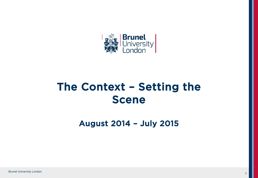

# The Context – Setting the Scene

### August 2014 – July 2015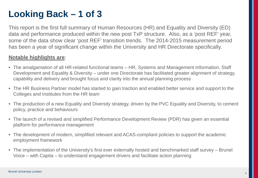# **Looking Back – 1 of 3**

This report is the first full summary of Human Resources (HR) and Equality and Diversity (ED) data and performance produced within the new post TxP structure. Also, as a 'post REF' year, some of the data show clear 'post REF' transition trends. The 2014-2015 measurement period has been a year of significant change within the University and HR Directorate specifically.

#### **Notable highlights are**:

- The amalgamation of all HR-related functional teams HR, Systems and Management Information, Staff Development and Equality & Diversity – under one Directorate has facilitated greater alignment of strategy, capability and delivery and brought focus and clarity into the annual planning process
- The HR Business Partner model has started to gain traction and enabled better service and support to the Colleges and Institutes from the HR team
- The production of a new Equality and Diversity strategy, driven by the PVC Equality and Diversity, to cement policy, practice and behaviours
- The launch of a revised and simplified Performance Development Review (PDR) has given an essential platform for performance management
- The development of modern, simplified relevant and ACAS-compliant policies to support the academic employment framework
- The implementation of the University's first ever externally hosted and benchmarked staff survey Brunel Voice – with Capita – to understand engagement drivers and facilitate action planning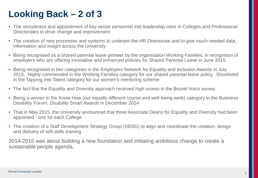# **Looking Back – 2 of 3**

- The recruitment and appointment of key senior personnel into leadership roles in Colleges and Professional Directorates to drive change and improvement
- The creation of new processes and systems to underpin the HR Directorate and to give much needed data, information and insight across the University
- Being recognised as a shared parental leave pioneer by the organisation Working Families, in recognition of employers who are offering innovative and enhanced policies for Shared Parental Leave in June 2015
- Being recognised in two categories in the Employers Network for Equality and Inclusion Awards in July 2015. Highly commended in the Working Families category for our shared parental leave policy. Shortlisted in the Tapping into Talent category for our women's mentoring scheme
- The fact that the Equality and Diversity approach received high scores in the Brunel Voice survey
- Being a winner in the Know How (our equally different course and well-being work) category in the Business Disability Forum, Disability Smart Awards in December 2014
- That in May 2015, the University announced that three Associate Deans for Equality and Diversity had been appointed - one for each College
- The creation of a Staff Development Strategy Group (SDSG) to align and coordinate the creation, design and delivery of soft skills training

2014-2015 was about building a new foundation and initiating ambitious change to create a sustainable people agenda.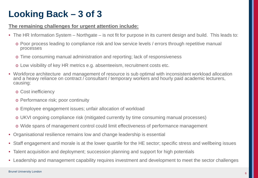# **Looking Back – 3 of 3**

#### **The remaining challenges for urgent attention include:**

- The HR Information System Northgate is not fit for purpose in its current design and build. This leads to:
	- o Poor process leading to compliance risk and low service levels / errors through repetitive manual processes
	- o Time consuming manual administration and reporting; lack of responsiveness
	- o Low visibility of key HR metrics e.g. absenteeism, recruitment costs etc.
- Workforce architecture and management of resource is sub optimal with inconsistent workload allocation and a heavy reliance on contract / consultant / temporary workers and hourly paid academic lecturers, causing:
	- o Cost inefficiency
	- o Performance risk; poor continuity
	- o Employee engagement issues; unfair allocation of workload
	- o UKVI ongoing compliance risk (mitigated currently by time consuming manual processes)
	- o Wide spans of management control could limit effectiveness of performance management
- Organisational resilience remains low and change leadership is essential
- Staff engagement and morale is at the lower quartile for the HE sector; specific stress and wellbeing issues
- Talent acquisition and deployment; succession planning and support for high potentials
- Leadership and management capability requires investment and development to meet the sector challenges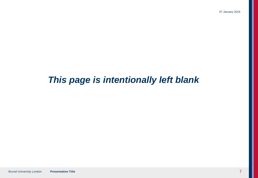## *This page is intentionally left blank*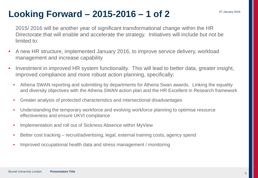# **Looking Forward – 2015-2016 – 1 of 2**

2015/ 2016 will be another year of significant transformational change within the HR Directorate that will enable and accelerate the strategy. Initiatives will include but not be limited to:

- A new HR structure, implemented January 2016, to improve service delivery, workload management and increase capability
- Investment in improved HR system functionality. This will lead to better data, greater insight, improved compliance and more robust action planning, specifically:
	- Athena SWAN reporting and submitting by departments for Athena Swan awards. Linking the equality and diversity objectives with the Athena SWAN action plan and the HR Excellent in Research framework
	- Greater analysis of protected characteristics and intersectional disadvantages
	- Understanding the temporary workforce and evolving workforce planning to optimise resource effectiveness and ensure UKVI compliance
	- Implementation and roll out of Sickness Absence within MyView
	- Better cost tracking recruit/advertising, legal, external training costs, agency spend
	- Improved occupational health data and stress management / monitoring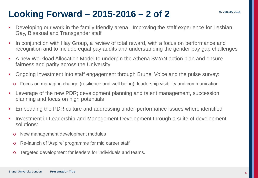# **Looking Forward – 2015-2016 – 2 of 2**

- Developing our work in the family friendly arena. Improving the staff experience for Lesbian, Gay, Bisexual and Transgender staff
- In conjunction with Hay Group, a review of total reward, with a focus on performance and recognition and to include equal pay audits and understanding the gender pay gap challenges
- A new Workload Allocation Model to underpin the Athena SWAN action plan and ensure fairness and parity across the University
- Ongoing investment into staff engagement through Brunel Voice and the pulse survey:
	- Focus on managing change (resilience and well being), leadership visibility and communication
- Leverage of the new PDR; development planning and talent management, succession planning and focus on high potentials
- Embedding the PDR culture and addressing under-performance issues where identified
- Investment in Leadership and Management Development through a suite of development solutions:
	- o New management development modules
	- o Re-launch of 'Aspire' programme for mid career staff
	- Targeted development for leaders for individuals and teams.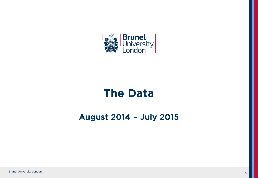

# The Data

### August 2014 – July 2015

Brunel University London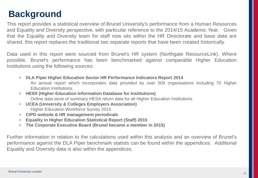## **Background**

This report provides a statistical overview of Brunel University's performance from a Human Resources and Equality and Diversity perspective, with particular reference to the 2014/15 Academic Year. Given that the Equality and Diversity team for staff now sits within the HR Directorate and base data are shared, this report replaces the traditional two separate reports that have been created historically.

Data used in this report were sourced from Brunel's HR system (Northgate ResourceLink). Where possible, Brunel's performance has been benchmarked against comparable Higher Education Institutions using the following sources:

- > **DLA Piper Higher Education Sector HR Performance Indicators Report 2014** An annual report which incorporates data provided by over 500 organisations including 70 Higher Education Institutions.
- > **HEIDI (Higher Education Information Database for Institutions)** Online data store of summary HESA return data for all Higher Education Institutions
- > **UCEA (University & Colleges Employers Association)** Higher Education Workforce Survey 2015
- > **CIPD website & HR management periodicals**
- > **Equality in Higher Education Statistical Report (Staff) 2015**
- > **The Corporate Executive Board (Brunel became a member in 2015)**

Further information in relation to the calculations used within this analysis and an overview of Brunel's performance against the DLA Piper benchmark statists can be found within the appendices. Additional Equality and Diversity data is also within the appendices.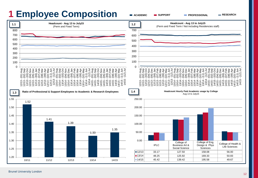**ACADEMIC SUPPORT PROFESSIONAL**

**RESEARCH** 

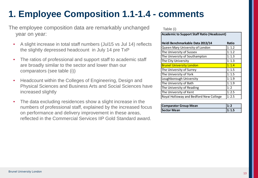# **1. Employee Composition 1.1-1.4 - comments**

The employee composition data are remarkably unchanged year on year:

- A slight increase in total staff numbers (Jul15 vs Jul 14) reflects the slightly depressed headcount in July 14 pre TxP
- The ratios of professional and support staff to academic staff are broadly similar to the sector and lower than our comparators (see table (i))
- Headcount within the Colleges of Engineering, Design and Physical Sciences and Business Arts and Social Sciences have increased slightly
- The data excluding residences show a slight increase in the numbers of professional staff, explained by the increased focus on performance and delivery improvement in these areas, reflected in the Commercial Services IIP Gold Standard award.

Table (i)

| <b>Academic to Support Staff Ratio (Headcount)</b> |       |  |
|----------------------------------------------------|-------|--|
| Heidi Benchmarkable Data 2013/14                   | Ratio |  |
| Queen Mary University of London                    | 1:1.2 |  |
| The University of Sussex                           | 1:1.2 |  |
| The University of Southampton                      | 1:1.3 |  |
| The City University                                | 1:1.3 |  |
| <b>Brunel University London</b>                    | 1:1.4 |  |
| The University of Surrey                           | 1:1.5 |  |
| The University of York                             | 1:1.5 |  |
| Loughborough University                            | 1:1.9 |  |
| The University of Bath                             | 1:1.9 |  |
| The University of Reading                          | 1:2   |  |
| The University of Kent                             | 1:2.5 |  |
| Royal Holloway and Bedford New College             | 1:2.5 |  |

| <b>Comparator Group Mean</b> | 1:2   |
|------------------------------|-------|
| <b>Sector Mean</b>           | 1:1.5 |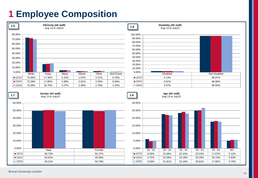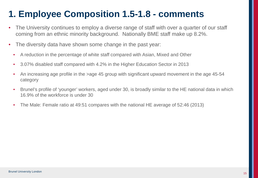# **1. Employee Composition 1.5-1.8 - comments**

- The University continues to employ a diverse range of staff with over a quarter of our staff coming from an ethnic minority background. Nationally BME staff make up 8.2%.
- The diversity data have shown some change in the past year:
	- A reduction in the percentage of white staff compared with Asian, Mixed and Other
	- 3.07% disabled staff compared with 4.2% in the Higher Education Sector in 2013
	- An increasing age profile in the >age 45 group with significant upward movement in the age 45-54 category
	- Brunel's profile of 'younger' workers, aged under 30, is broadly similar to the HE national data in which 16.9% of the workforce is under 30
	- The Male: Female ratio at 49:51 compares with the national HE average of 52:46 (2013)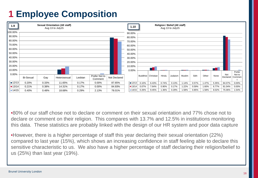

•80% of our staff chose not to declare or comment on their sexual orientation and 77% chose not to declare or comment on their religion. This compares with 13.7% and 12.5% in institutions monitoring this data. These statistics are probably linked with the design of our HR system and poor data capture

•However, there is a higher percentage of staff this year declaring their sexual orientation (22%) compared to last year (15%), which shows an increasing confidence in staff feeling able to declare this sensitive characteristic to us. We also have a higher percentage of staff declaring their religion/belief to us (25%) than last year (19%).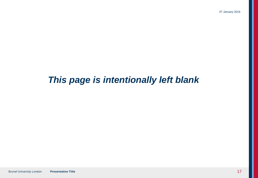## *This page is intentionally left blank*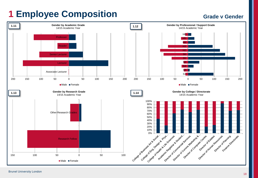#### **Grade v Gender**

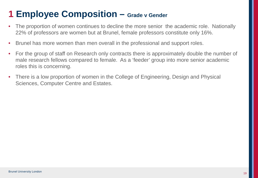# **1 Employee Composition – Grade v Gender**

- The proportion of women continues to decline the more senior the academic role. Nationally 22% of professors are women but at Brunel, female professors constitute only 16%.
- Brunel has more women than men overall in the professional and support roles.
- For the group of staff on Research only contracts there is approximately double the number of male research fellows compared to female. As a 'feeder' group into more senior academic roles this is concerning.
- There is a low proportion of women in the College of Engineering, Design and Physical Sciences, Computer Centre and Estates.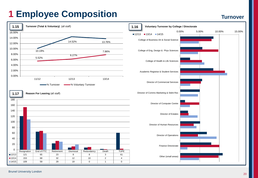#### **Turnover**

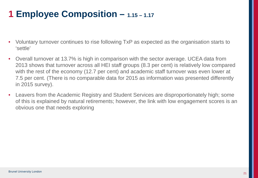# **1 Employee Composition – 1.15 – 1.17**

- Voluntary turnover continues to rise following TxP as expected as the organisation starts to 'settle'
- Overall turnover at 13.7% is high in comparison with the sector average. UCEA data from 2013 shows that turnover across all HEI staff groups (8.3 per cent) is relatively low compared with the rest of the economy (12.7 per cent) and academic staff turnover was even lower at 7.5 per cent. (There is no comparable data for 2015 as information was presented differently in 2015 survey).
- Leavers from the Academic Registry and Student Services are disproportionately high; some of this is explained by natural retirements; however, the link with low engagement scores is an obvious one that needs exploring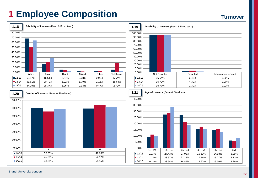#### 1.18 **Ethnicity of Leavers** (Perm & Fixed term) **1.19** Disability of Leavers (Perm & Fixed term) White | Asian | Black | Mixed | Other | Not Known 12/13 68.17% 16.61% 5.54% 2.08% 2.08% 5.54% 13/14 51.61% 20.79% 5.02% 1.79% 2.15% 18.64% 14/15 64.19% 28.37% 3.26% 0.93% 0.47% 2.79% 0.00% 10.00% 20.00% 30.00% 40.00% 50.00% 60.00% 70.00% 80.00%







#### **Turnover**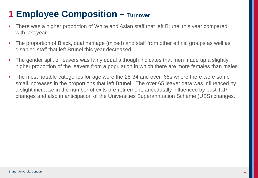# **1 Employee Composition – Turnover**

- There was a higher proportion of White and Asian staff that left Brunel this year compared with last year
- The proportion of Black, dual heritage (mixed) and staff from other ethnic groups as well as disabled staff that left Brunel this year decreased.
- The gender split of leavers was fairly equal although indicates that men made up a slightly higher proportion of the leavers from a population in which there are more females than males
- The most notable categories for age were the 25-34 and over 65s where there were some small increases in the proportions that left Brunel. The over 65 leaver data was influenced by a slight increase in the number of exits pre-retirement, anecdotally influenced by post TxP changes and also in anticipation of the Universities Superannuation Scheme (USS) changes.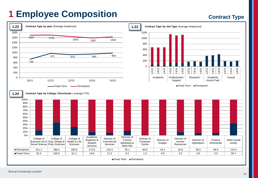### **Contract Type**

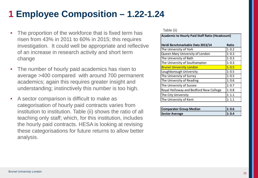# **1 Employee Composition – 1.22-1.24**

- The proportion of the workforce that is fixed term has risen from 43% in 2011 to 60% in 2015; this requires investigation. It could well be appropriate and reflective of an increase in research activity and short term change
- The number of hourly paid academics has risen to average >400 compared with around 700 permanent academics; again this requires greater insight and understanding; instinctively this number is too high.
- A sector comparison is difficult to make as categorisation of hourly paid contracts varies from institution to institution. Table (ii) shows the ratio of all teaching only staff; which, for this institution, includes the hourly paid contracts. HESA is looking at revising these categorisations for future returns to allow better analysis.

#### Table (ii)

| <b>Academic to Hourly Paid Staff Ratio (Headcount)</b> |       |  |
|--------------------------------------------------------|-------|--|
| Heidi Benchmarkable Data 2013/14                       | Ratio |  |
| The University of York                                 | 1:0.2 |  |
| Queen Mary University of London                        | 1:0.3 |  |
| The University of Bath                                 | 1:0.3 |  |
| The University of Southampton                          | 1:0.3 |  |
| <b>Brunel University London</b>                        | 1:0.5 |  |
| Loughborough University                                | 1:0.5 |  |
| The University of Surrey                               | 1:0.5 |  |
| The University of Reading                              | 1:0.6 |  |
| The University of Sussex                               | 1:0.7 |  |
| Royal Holloway and Bedford New College                 | 1:0.8 |  |
| The City University                                    | 1:1.1 |  |
| The University of Kent                                 | 1:1.1 |  |

| <b>Comparator Group Median</b> | 1:0.6 |
|--------------------------------|-------|
| <b>Sector Average</b>          | 1:0.4 |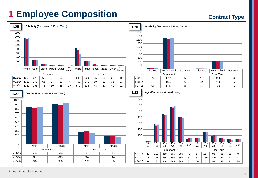### **Contract Type**

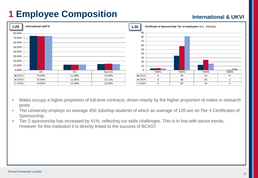### **International & UKVI**



- Males occupy a higher proportion of full-time contracts, driven mainly by the higher proportion of males in research posts
- The University employs on average 450 Jobshop students of which an average of 120 are on Tier 4 Certificates of Sponsorship.
- Tier 2 sponsorship has increased by 41%, reflecting our skills challenges. This is in line with sector trends. However for this institution it is directly linked to the success of BCAST.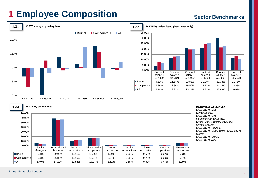#### **Sector Benchmarks**

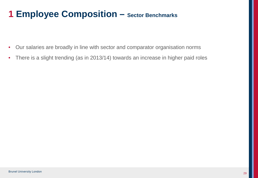# **1 Employee Composition – Sector Benchmarks**

- Our salaries are broadly in line with sector and comparator organisation norms
- There is a slight trending (as in 2013/14) towards an increase in higher paid roles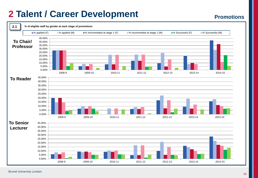#### **Promotions**

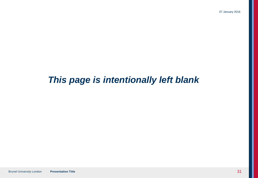## *This page is intentionally left blank*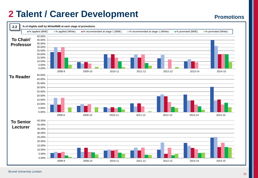#### **Promotions**

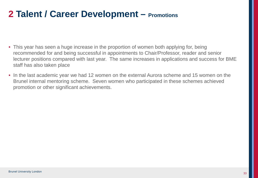## **2 Talent / Career Development – Promotions**

- This year has seen a huge increase in the proportion of women both applying for, being recommended for and being successful in appointments to Chair/Professor, reader and senior lecturer positions compared with last year. The same increases in applications and success for BME staff has also taken place
- In the last academic year we had 12 women on the external Aurora scheme and 15 women on the Brunel internal mentoring scheme. Seven women who participated in these schemes achieved promotion or other significant achievements.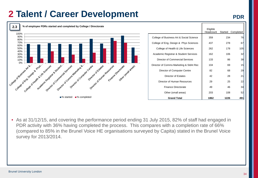### **PDR**



• As at 31/12/15, and covering the performance period ending 31 July 2015, 82% of staff had engaged in PDR activity with 36% having completed the process. This compares with a completion rate of 66% (compared to 85% in the Brunel Voice HE organisations surveyed by Capita) stated in the Brunel Voice survey for 2013/2014.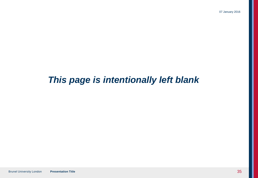## *This page is intentionally left blank*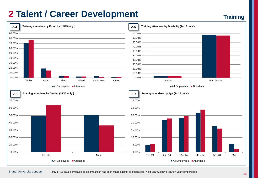### **Training**

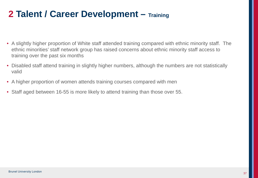## **2 Talent / Career Development – Training**

- A slightly higher proportion of White staff attended training compared with ethnic minority staff. The ethnic minorities' staff network group has raised concerns about ethnic minority staff access to training over the past six months
- Disabled staff attend training in slightly higher numbers, although the numbers are not statistically valid
- A higher proportion of women attends training courses compared with men
- Staff aged between 16-55 is more likely to attend training than those over 55.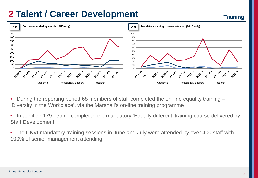### **Training**



- During the reporting period 68 members of staff completed the on-line equality training 'Diversity in the Workplace', via the Marshall's on-line training programme
- In addition 179 people completed the mandatory 'Equally different' training course delivered by Staff Development
- The UKVI mandatory training sessions in June and July were attended by over 400 staff with 100% of senior management attending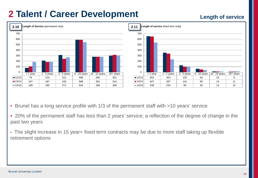#### **Length of service**



- Brunel has a long service profile with 1/3 of the permanent staff with >10 years' service
- 20% of the permanent staff has less than 2 years' service; a reflection of the degree of change in the past two years
- The slight increase in 15 year+ fixed term contracts may be due to more staff taking up flexible retirement options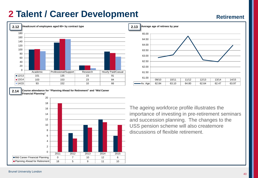#### **Retirement**

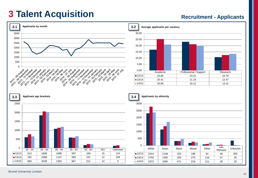# **3 Talent Acquisition**

### **Recruitment - Applicants**

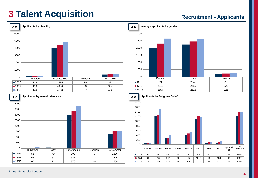# **3 Talent Acquisition**

### **Recruitment - Applicants**

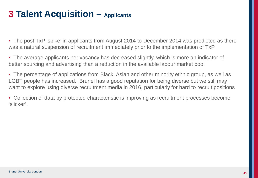## **3 Talent Acquisition – Applicants**

• The post TxP 'spike' in applicants from August 2014 to December 2014 was predicted as there was a natural suspension of recruitment immediately prior to the implementation of TxP

• The average applicants per vacancy has decreased slightly, which is more an indicator of better sourcing and advertising than a reduction in the available labour market pool

• The percentage of applications from Black, Asian and other minority ethnic group, as well as LGBT people has increased. Brunel has a good reputation for being diverse but we still may want to explore using diverse recruitment media in 2016, particularly for hard to recruit positions

• Collection of data by protected characteristic is improving as recruitment processes become 'slicker'.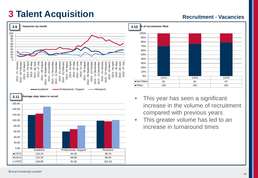# **3 Talent Acquisition**

#### **Recruitment - Vacancies**





- This year has seen a significant increase in the volume of recruitment compared with previous years
- This greater volume has led to an increase in turnaround times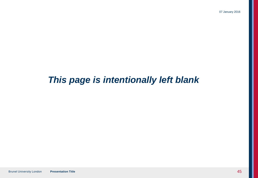## *This page is intentionally left blank*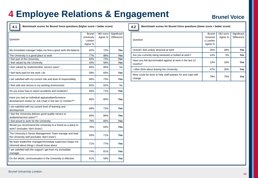# **4 Employee Relations & Engagement**

#### **Brunel Voice**

|                                                                                                               | <b>Brunel</b> | HEI norm | Significant       |
|---------------------------------------------------------------------------------------------------------------|---------------|----------|-------------------|
|                                                                                                               | University    | Agree %  | <b>Difference</b> |
| Question                                                                                                      | London        |          |                   |
|                                                                                                               | Agree %       |          |                   |
| My immediate manager helps me find a good work life balance                                                   | 62%           | 72%      | Yes               |
| The University is a good place to work                                                                        | 77%           | 88%      | <b>Yes</b>        |
| I feel part of the University                                                                                 | 64%           | 73%      | Yes               |
| I feel valued by the University                                                                               | 44%           | 56%      | Yes               |
| I feel valued by students/other service users*                                                                | 84%           | 85%      | No                |
| I feel fairly paid for the work I do                                                                          | 58%           | 65%      | Yes               |
| I am satisfied with my current role and level of responsibility                                               | 66%           | 73%      | Yes               |
| I feel safe and secure in my working environment                                                              | 92%           | 92%      | No                |
| Do you know how to report accidents and incidents?                                                            | 58%           | 71%      | Yes               |
| Have you had an individual appraisal/performance<br>development review (or Job Chat) in the last 12 months?** | 66%           | 85%      | Yes               |
| I am satisfied with my current level of learning and<br>development                                           | 69%           | 72%      | Yes               |
| I feel the University delivers good quality service to<br>students/service users***                           | 80%           | 86%      | Yes               |
| I feel proud to work for the University                                                                       | 79%           | 85%      | Yes               |
| Would you recommend the University to a friend as a place to<br>work? (excludes 'don't know')                 | 76%           | 84%      | Yes               |
| The University's Senior Management Team manage and lead<br>the University well (excludes 'don't know')        | 50%           | 71%      | Yes               |
| My team leader/line manager/immediate supervisor keeps me<br>informed about things I should know about        | 71%           | 77%      | Yes               |
| I am satisfied with the support I get from my immediate<br>manager                                            | 74%           | 81%      | Yes               |
| On the whole, communication in the University is effective                                                    | 51%           | 59%      | Yes               |
|                                                                                                               |               |          |                   |

**4.2 Benchmark scores for Brunel Voice questions (lower score = better score)** 

| Question                                                              | <b>Brunel</b><br>Universit<br>y London<br>Agree % | HEI norm<br>Agree % | Significant<br><b>Difference</b> |
|-----------------------------------------------------------------------|---------------------------------------------------|---------------------|----------------------------------|
| Overall I feel unduly stressed at work                                | 35%                                               | 28%                 | <b>Yes</b>                       |
| Are you currently being harassed or bullied at work?                  | 14%                                               | 5%                  | <b>Yes</b>                       |
| Have you felt discriminated against at work in the last 12<br>months? | 13%                                               | 10%                 | <b>Yes</b>                       |
| I often think about leaving the University                            | 47%                                               | 35%                 | <b>Yes</b>                       |
| More could be done to help staff prepare for and cope with<br>change  | 79%                                               | 75%                 | Yes                              |

l c

─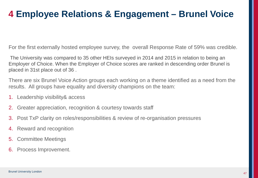## **4 Employee Relations & Engagement – Brunel Voice**

For the first externally hosted employee survey, the overall Response Rate of 59% was credible.

The University was compared to 35 other HEIs surveyed in 2014 and 2015 in relation to being an Employer of Choice. When the Employer of Choice scores are ranked in descending order Brunel is placed in 31st place out of 36 .

There are six Brunel Voice Action groups each working on a theme identified as a need from the results. All groups have equality and diversity champions on the team:

- 1. Leadership visibility& access
- 2. Greater appreciation, recognition & courtesy towards staff
- 3. Post TxP clarity on roles/responsibilities & review of re-organisation pressures
- 4. Reward and recognition
- 5. Committee Meetings
- 6. Process Improvement.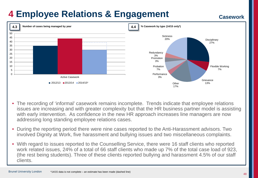## **4 Employee Relations & Engagement**

#### **4.3 Number of cases being managed by year 4.4 % Casework by type (14/15 only\*) Disciplinary** 27% Flexible Working 7% **Grievance** Other 13% 17% Performance 3% Probation 7% Promotion 3% **Redundancy** 3% **Sickness** 20%  $\Omega$ 5 10 15 20 25 30 35 40 45 50 Active Casework  $\blacksquare$  2012/13  $\blacksquare$  2013/14  $\blacksquare$  2014/15\*

- The recording of 'informal' casework remains incomplete. Trends indicate that employee relations issues are increasing and with greater complexity but that the HR business partner model is assisting with early intervention. As confidence in the new HR approach increases line managers are now addressing long standing employee relations cases.
- During the reporting period there were nine cases reported to the Anti-Harassment advisors. Two involved Dignity at Work, five harassment and bullying issues and two miscellaneous complaints.
- With regard to issues reported to the Counselling Service, there were 16 staff clients who reported work related issues, 24% of a total of 66 staff clients who made up 7% of the total case load of 923, (the rest being students). Three of these clients reported bullying and harassment 4.5% of our staff clients.

### **Casework**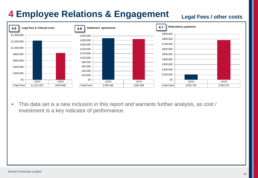## **4 Employee Relations & Engagement**

### **Legal Fees / other costs**



• This data set is a new inclusion in this report and warrants further analysis, as cost / investment is a key indicator of performance.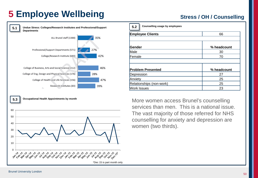# **5 Employee Wellbeing**

### **Stress / OH / Counselling**



18.58 Mg bg (199 Mg x) based 00 fg 00 Ng co (20 Mg bg mg m, 21 mg 82 00 fg 100

\*Dec 15 is part month only

| Counselling usage by employees<br>5.2 |             |
|---------------------------------------|-------------|
| <b>Employee Clients</b>               | 66          |
|                                       |             |
| Gender                                | % headcount |
| Male                                  | 30          |
| Female                                | 70          |
|                                       |             |
| <b>Problem Presented</b>              | % headcount |
| Depression                            | 27          |
| Anxiety                               | 25          |
| Relationships (non-work)              | 25          |
| <b>Work Issues</b>                    | 23          |

More women access Brunel's counselling services than men. This is a national issue. The vast majority of those referred for NHS counselling for anxiety and depression are women (two thirds).

Brunel University London

10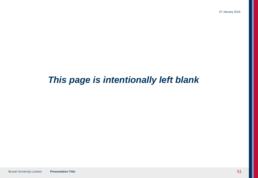## *This page is intentionally left blank*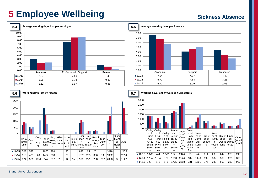# **5 Employee Wellbeing**

#### **5.4 Average working days lost per employee 5.5 Average Working days per Absence** Academic | Professional / Support | Research 12/13 2.97 7.66 1.40 13/14 2.06 8.78 0.83 14/15 2.12 8.97 0.35 0.00 1.00 2.00 3.00 4.00 5.00 6.00 7.00 8.00 9.00 10.00

#### Academic | Support | Research 12/13 7.64 12/13 7.64 12/13 13/14 6.72 4.68 3.26 14/15 5.77 5.09 3.56 0.00 1.00 2.00 3.00 4.00 5.00 6.00 7.00 8.00





#### **Sickness Absence**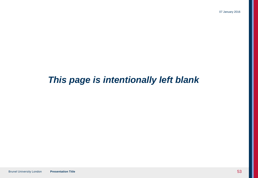## *This page is intentionally left blank*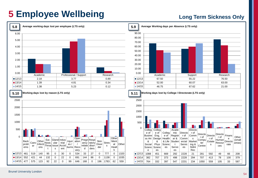# **5 Employee Wellbeing**

### **Long Term Sickness Only**

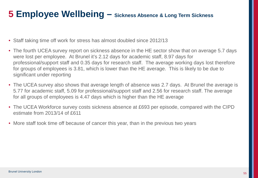## **5 Employee Wellbeing – Sickness Absence & Long Term Sickness**

- Staff taking time off work for stress has almost doubled since 2012/13
- The fourth UCEA survey report on sickness absence in the HE sector show that on average 5.7 days were lost per employee. At Brunel it's 2.12 days for academic staff, 8.97 days for professional/support staff and 0.35 days for research staff. The average working days lost therefore for groups of employees is 3.81, which is lower than the HE average. This is likely to be due to significant under reporting
- The UCEA survey also shows that average length of absence was 2.7 days. At Brunel the average is 5.77 for academic staff, 5.09 for professional/support staff and 2.56 for research staff. The average for all groups of employees is 4.47 days which is higher than the HE average
- The UCEA Workforce survey costs sickness absence at £693 per episode, compared with the CIPD estimate from 2013/14 of £611
- More staff took time off because of cancer this year, than in the previous two years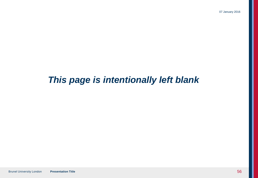## *This page is intentionally left blank*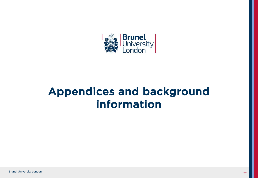

# Appendices and background information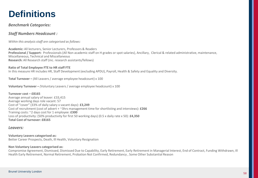## **Definitions**

#### *Benchmark Categories:*

#### *Staff Numbers Headcount :*

*Within this analysis staff are categorised as follows:*

**Academic:** All lecturers, Senior Lecturers, Professors & Readers **Professional / Support:** Professionals (All Non academic staff on H grades or spot salaries), Ancillary, Clerical & related administrative, maintenance, Miscellaneous, Technical and Miscellaneous **Research:** All Research staff (inc. research assistants/fellows)

#### **Ratio of Total Employee FTE to HR staff FTE**

In this measure HR includes HR, Staff Development (excluding APDU), Payroll, Health & Safety and Equality and Diversity.

**Total Turnover** *– (*All Leavers / average employee headcount) x 100

**Voluntary Turnover** *– (*Voluntary Leavers / average employee headcount) x 100

**Turnover cost – £8165** Average annual salary of leaver: £33,415 Average working days role vacant: 57 Cost of "cover" (33% of daily salary x vacant days): **£3,249** Cost of recruitment (cost of advert + ~3hrs management time for shortlisting and interviews): **£266** Training costs: ~2 days cost for 1 employee: **£300** Loss of productivity: (50% productivity for first 50 working days) (0.5 x daily rate x 50): **£4,350 Total Cost of turnover: £8165**

#### *Leavers:*

**Voluntary Leavers categorised as:**  Better Career Prospects, Death, Ill Health, Voluntary Resignation

#### **Non Voluntary Leavers categorised as:**

Compromise Agreement, Dismissed, Dismissed Due to Capability, Early Retirement, Early Retirement in Managerial Interest, End of Contract, Funding Withdrawn, Ill Health Early Retirement, Normal Retirement, Probation Not Confirmed, Redundancy , Some Other Substantial Reason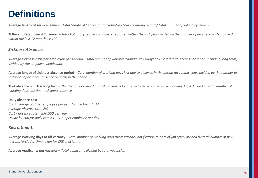## **Definitions**

**Average length of service leavers** - *Total Length of Service for all Voluntary Leavers during period / total number of voluntary leavers*

**% Recent Recruitment Turnover** – *Total Voluntary Leavers who were recruited within the last year divided by the number of new recruits (employed within the last 12 months) x 100*

#### *Sickness Absence:*

**Average sickness days per employee per annum** – *Total number of working (Monday to Friday) days lost due to sickness absence (including long term) divided by the employee headcount*

**Average length of sickness absence period** – *Total number of working days lost due to absence in the period (academic year) divided by the number of instances of absence (absence periods) in the period*

**% of absence which is long term** - *Number of working days lost classed as long term (over 20 consecutive working days) divided by total number of working days lost due to sickness absence*

#### **Daily absence cost –**

*CIPD average cost per employee per year (whole Inst): £611 Average absence rate: 2% Cost / absence rate = £30,550 per year Divide by 260 for daily rate = £117.50 per employee per day*

#### *Recruitment:*

**Average Working days to fill vacancy –** *Total number of working days (from vacancy notification to date of job offer) divided by total number of new recruits (excludes time taken for CRB checks etc)*

**Average Applicants per vacancy –** *Total applicants divided by total vacancies*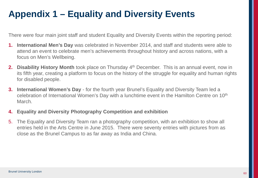# **Appendix 1 – Equality and Diversity Events**

There were four main joint staff and student Equality and Diversity Events within the reporting period:

- **1. International Men's Day** was celebrated in November 2014, and staff and students were able to attend an event to celebrate men's achievements throughout history and across nations, with a focus on Men's Wellbeing.
- **2. Disability History Month** took place on Thursday 4<sup>th</sup> December. This is an annual event, now in its fifth year, creating a platform to focus on the history of the struggle for equality and human rights for disabled people.
- **3. International Women's Day** for the fourth year Brunel's Equality and Diversity Team led a celebration of International Women's Day with a lunchtime event in the Hamilton Centre on 10th March.
- **4. Equality and Diversity Photography Competition and exhibition**
- 5. The Equality and Diversity Team ran a photography competition, with an exhibition to show all entries held in the Arts Centre in June 2015. There were seventy entries with pictures from as close as the Brunel Campus to as far away as India and China.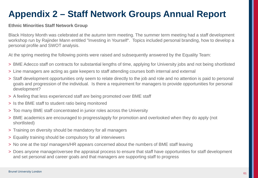# **Appendix 2 – Staff Network Groups Annual Report**

#### **Ethnic Minorities Staff Network Group**

Black History Month was celebrated at the autumn term meeting. The summer term meeting had a staff development workshop run by Rajinder Mann entitled "Investing in Yourself". Topics included personal branding, how to develop a personal profile and SWOT analysis.

At the spring meeting the following points were raised and subsequently answered by the Equality Team:

- > BME Adecco staff on contracts for substantial lengths of time, applying for University jobs and not being shortlisted
- > Line managers are acting as gate keepers to staff attending courses both internal and external
- > Staff development opportunities only seem to relate directly to the job and role and no attention is paid to personal goals and progression of the individual. Is there a requirement for managers to provide opportunities for personal development?
- > A feeling that less experienced staff are being promoted over BME staff
- > Is the BME staff to student ratio being monitored
- > Too many BME staff concentrated in junior roles across the University
- > BME academics are encouraged to progress/apply for promotion and overlooked when they do apply (not shortlisted)
- > Training on diversity should be mandatory for all managers
- > Equality training should be compulsory for all interviewers
- > No one at the top/ managers/HR appears concerned about the numbers of BME staff leaving
- > Does anyone manage/oversee the appraisal process to ensure that staff have opportunities for staff development and set personal and career goals and that managers are supporting staff to progress